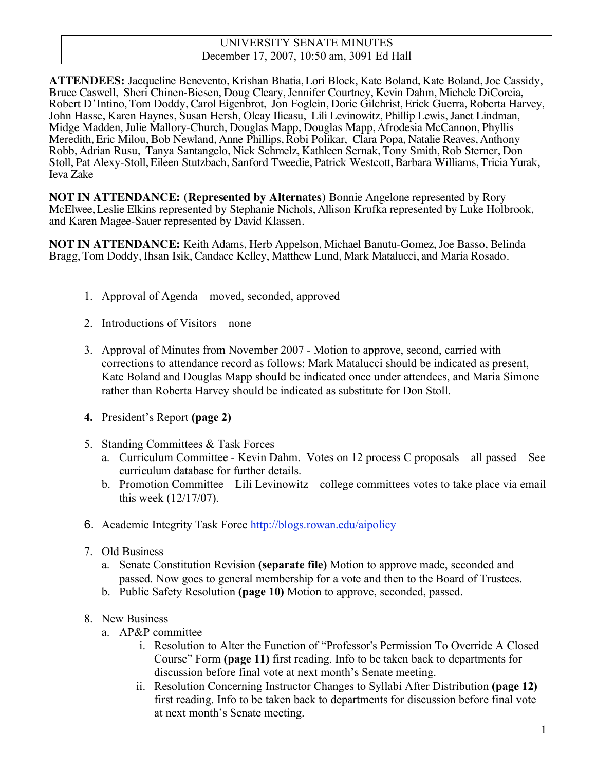#### UNIVERSITY SENATE MINUTES December 17, 2007, 10:50 am, 3091 Ed Hall

**ATTENDEES:** Jacqueline Benevento, Krishan Bhatia, Lori Block, Kate Boland, Kate Boland, Joe Cassidy, Bruce Caswell, Sheri Chinen-Biesen, Doug Cleary, Jennifer Courtney, Kevin Dahm, Michele DiCorcia, Robert D'Intino, Tom Doddy, Carol Eigenbrot, Jon Foglein, Dorie Gilchrist, Erick Guerra, Roberta Harvey, John Hasse, Karen Haynes, Susan Hersh, Olcay Ilicasu, Lili Levinowitz, Phillip Lewis, Janet Lindman, Midge Madden, Julie Mallory-Church, Douglas Mapp, Douglas Mapp, Afrodesia McCannon, Phyllis Meredith, Eric Milou, Bob Newland, Anne Phillips, Robi Polikar, Clara Popa, Natalie Reaves, Anthony Robb, Adrian Rusu, Tanya Santangelo, Nick Schmelz, Kathleen Sernak, Tony Smith, Rob Sterner, Don Stoll, Pat Alexy-Stoll, Eileen Stutzbach, Sanford Tweedie, Patrick Westcott, Barbara Williams, Tricia Yurak, Ieva Zake

**NOT IN ATTENDANCE: (Represented by Alternates)** Bonnie Angelone represented by Rory McElwee, Leslie Elkins represented by Stephanie Nichols, Allison Krufka represented by Luke Holbrook, and Karen Magee-Sauer represented by David Klassen.

**NOT IN ATTENDANCE:** Keith Adams, Herb Appelson, Michael Banutu-Gomez, Joe Basso, Belinda Bragg, Tom Doddy, Ihsan Isik, Candace Kelley, Matthew Lund, Mark Matalucci, and Maria Rosado.

- 1. Approval of Agenda moved, seconded, approved
- 2. Introductions of Visitors none
- 3. Approval of Minutes from November 2007 Motion to approve, second, carried with corrections to attendance record as follows: Mark Matalucci should be indicated as present, Kate Boland and Douglas Mapp should be indicated once under attendees, and Maria Simone rather than Roberta Harvey should be indicated as substitute for Don Stoll.
- **4.** President's Report **(page 2)**
- 5. Standing Committees & Task Forces
	- a. Curriculum Committee Kevin Dahm. Votes on 12 process C proposals all passed See curriculum database for further details.
	- b. Promotion Committee Lili Levinowitz college committees votes to take place via email this week (12/17/07).
- 6. Academic Integrity Task Force http://blogs.rowan.edu/aipolicy
- 7. Old Business
	- a. Senate Constitution Revision **(separate file)** Motion to approve made, seconded and passed. Now goes to general membership for a vote and then to the Board of Trustees.
	- b. Public Safety Resolution **(page 10)** Motion to approve, seconded, passed.
- 8. New Business
	- a. AP&P committee
		- i. Resolution to Alter the Function of "Professor's Permission To Override A Closed Course" Form **(page 11)** first reading. Info to be taken back to departments for discussion before final vote at next month's Senate meeting.
		- ii. Resolution Concerning Instructor Changes to Syllabi After Distribution **(page 12)** first reading. Info to be taken back to departments for discussion before final vote at next month's Senate meeting.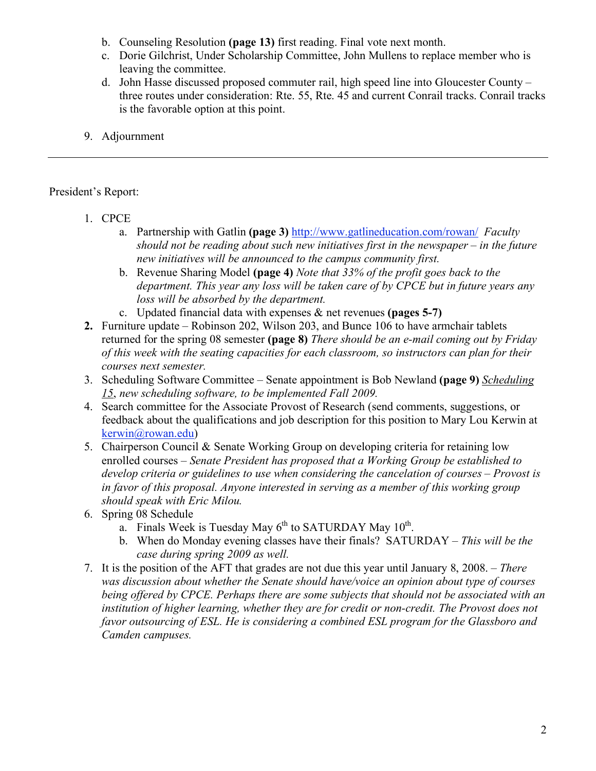- b. Counseling Resolution **(page 13)** first reading. Final vote next month.
- c. Dorie Gilchrist, Under Scholarship Committee, John Mullens to replace member who is leaving the committee.
- d. John Hasse discussed proposed commuter rail, high speed line into Gloucester County three routes under consideration: Rte. 55, Rte. 45 and current Conrail tracks. Conrail tracks is the favorable option at this point.
- 9. Adjournment

# President's Report:

- 1. CPCE
	- a. Partnership with Gatlin **(page 3)** http://www.gatlineducation.com/rowan/ *Faculty should not be reading about such new initiatives first in the newspaper – in the future new initiatives will be announced to the campus community first.*
	- b. Revenue Sharing Model **(page 4)** *Note that 33% of the profit goes back to the department. This year any loss will be taken care of by CPCE but in future years any loss will be absorbed by the department.*
	- c. Updated financial data with expenses & net revenues **(pages 5-7)**
- **2.** Furniture update Robinson 202, Wilson 203, and Bunce 106 to have armchair tablets returned for the spring 08 semester **(page 8)** *There should be an e-mail coming out by Friday of this week with the seating capacities for each classroom, so instructors can plan for their courses next semester.*
- 3. Scheduling Software Committee Senate appointment is Bob Newland **(page 9)** *Scheduling 15*, *new scheduling software, to be implemented Fall 2009.*
- 4. Search committee for the Associate Provost of Research (send comments, suggestions, or feedback about the qualifications and job description for this position to Mary Lou Kerwin at kerwin@rowan.edu)
- 5. Chairperson Council & Senate Working Group on developing criteria for retaining low enrolled courses – *Senate President has proposed that a Working Group be established to develop criteria or guidelines to use when considering the cancelation of courses – Provost is in favor of this proposal. Anyone interested in serving as a member of this working group should speak with Eric Milou.*
- 6. Spring 08 Schedule
	- a. Finals Week is Tuesday May  $6<sup>th</sup>$  to SATURDAY May  $10<sup>th</sup>$ .
	- b. When do Monday evening classes have their finals? SATURDAY *This will be the case during spring 2009 as well.*
- 7. It is the position of the AFT that grades are not due this year until January 8, 2008. *There was discussion about whether the Senate should have/voice an opinion about type of courses being offered by CPCE. Perhaps there are some subjects that should not be associated with an*  institution of higher learning, whether they are for credit or non-credit. The Provost does not *favor outsourcing of ESL. He is considering a combined ESL program for the Glassboro and Camden campuses.*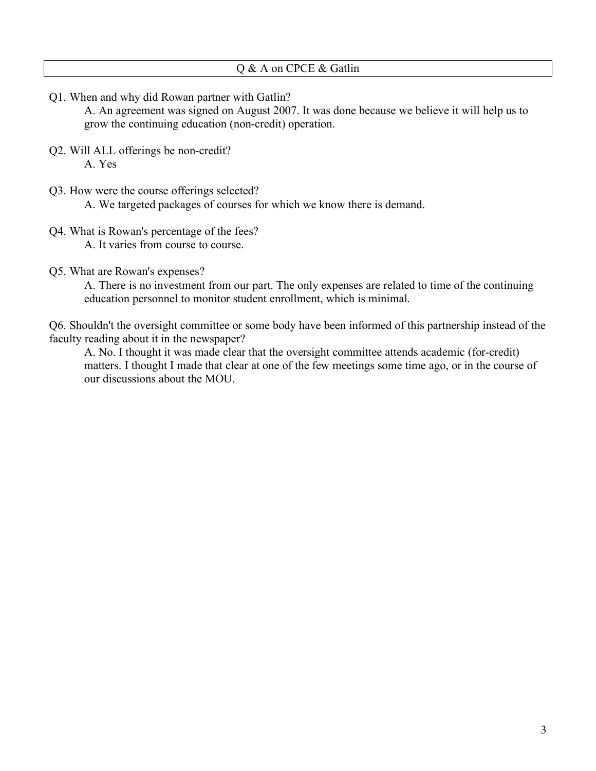Q1. When and why did Rowan partner with Gatlin?

A. An agreement was signed on August 2007. It was done because we believe it will help us to grow the continuing education (non-credit) operation.

- Q2. Will ALL offerings be non-credit? A. Yes
- Q3. How were the course offerings selected? A. We targeted packages of courses for which we know there is demand.
- Q4. What is Rowan's percentage of the fees? A. It varies from course to course.
- Q5. What are Rowan's expenses?

A. There is no investment from our part. The only expenses are related to time of the continuing education personnel to monitor student enrollment, which is minimal.

Q6. Shouldn't the oversight committee or some body have been informed of this partnership instead of the faculty reading about it in the newspaper?

A. No. I thought it was made clear that the oversight committee attends academic (for-credit) matters. I thought I made that clear at one of the few meetings some time ago, or in the course of our discussions about the MOU.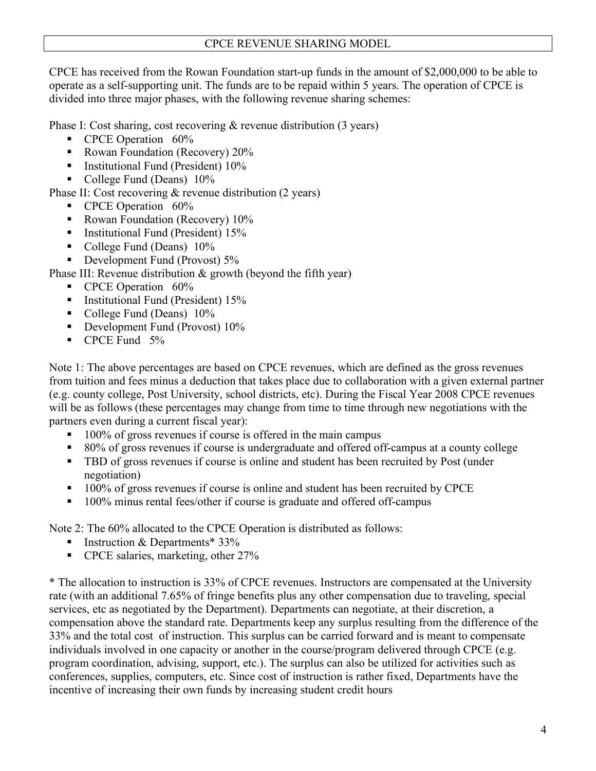## CPCE REVENUE SHARING MODEL

CPCE has received from the Rowan Foundation start-up funds in the amount of \$2,000,000 to be able to operate as a self-supporting unit. The funds are to be repaid within 5 years. The operation of CPCE is divided into three major phases, with the following revenue sharing schemes:

Phase I: Cost sharing, cost recovering & revenue distribution (3 years)

- CPCE Operation 60%
- Rowan Foundation (Recovery) 20%
- **Institutional Fund (President)**  $10\%$
- College Fund (Deans)  $10\%$

Phase II: Cost recovering & revenue distribution (2 years)

- CPCE Operation 60%
- Rowan Foundation (Recovery)  $10\%$
- **Institutional Fund (President)**  $15\%$
- College Fund (Deans)  $10\%$
- Development Fund (Provost)  $5\%$

Phase III: Revenue distribution & growth (beyond the fifth year)

- CPCE Operation 60%
- **Institutional Fund (President)**  $15%$
- College Fund (Deans)  $10\%$
- Development Fund (Provost) 10%
- CPCE Fund 5%

Note 1: The above percentages are based on CPCE revenues, which are defined as the gross revenues from tuition and fees minus a deduction that takes place due to collaboration with a given external partner (e.g. county college, Post University, school districts, etc). During the Fiscal Year 2008 CPCE revenues will be as follows (these percentages may change from time to time through new negotiations with the partners even during a current fiscal year):

- 100% of gross revenues if course is offered in the main campus
- 80% of gross revenues if course is undergraduate and offered off-campus at a county college
- **TBD** of gross revenues if course is online and student has been recruited by Post (under negotiation)
- <sup>100</sup>% of gross revenues if course is online and student has been recruited by CPCE
- 100% minus rental fees/other if course is graduate and offered off-campus

Note 2: The 60% allocated to the CPCE Operation is distributed as follows:

- **Instruction & Departments**  $*$  33%
- CPCE salaries, marketing, other 27%

\* The allocation to instruction is 33% of CPCE revenues. Instructors are compensated at the University rate (with an additional 7.65% of fringe benefits plus any other compensation due to traveling, special services, etc as negotiated by the Department). Departments can negotiate, at their discretion, a compensation above the standard rate. Departments keep any surplus resulting from the difference of the 33% and the total cost of instruction. This surplus can be carried forward and is meant to compensate individuals involved in one capacity or another in the course/program delivered through CPCE (e.g. program coordination, advising, support, etc.). The surplus can also be utilized for activities such as conferences, supplies, computers, etc. Since cost of instruction is rather fixed, Departments have the incentive of increasing their own funds by increasing student credit hours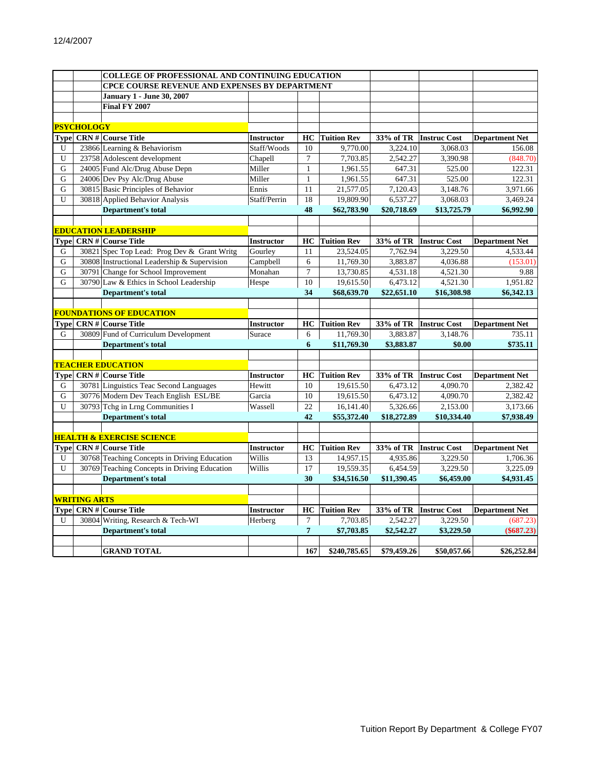|                |                     | <b>COLLEGE OF PROFESSIONAL AND CONTINUING EDUCATION</b> |                   |                |                    |             |                     |                       |
|----------------|---------------------|---------------------------------------------------------|-------------------|----------------|--------------------|-------------|---------------------|-----------------------|
|                |                     | <b>CPCE COURSE REVENUE AND EXPENSES BY DEPARTMENT</b>   |                   |                |                    |             |                     |                       |
|                |                     | <b>January 1 - June 30, 2007</b>                        |                   |                |                    |             |                     |                       |
|                |                     | Final FY 2007                                           |                   |                |                    |             |                     |                       |
|                |                     |                                                         |                   |                |                    |             |                     |                       |
|                | <b>PSYCHOLOGY</b>   |                                                         |                   |                |                    |             |                     |                       |
|                |                     | <b>Type CRN # Course Title</b>                          | <b>Instructor</b> | HC             | <b>Tuition Rev</b> | 33% of TR   | <b>Instruc Cost</b> | <b>Department Net</b> |
| U              |                     | 23866 Learning & Behaviorism                            | Staff/Woods       | 10             | 9,770.00           | 3,224.10    | 3,068.03            | 156.08                |
| U              |                     | 23758 Adolescent development                            | Chapell           | $\overline{7}$ | 7,703.85           | 2,542.27    | 3,390.98            | (848.70)              |
| G              |                     | 24005 Fund Alc/Drug Abuse Depn                          | Miller            | $\mathbf{1}$   | 1,961.55           | 647.31      | 525.00              | 122.31                |
| ${\bf G}$      |                     | 24006 Dev Psy Alc/Drug Abuse                            | Miller            | $\mathbf{1}$   | 1,961.55           | 647.31      | 525.00              | 122.31                |
| G              |                     | 30815 Basic Principles of Behavior                      | Ennis             | 11             | 21,577.05          | 7,120.43    | 3,148.76            | 3,971.66              |
| U              |                     | 30818 Applied Behavior Analysis                         | Staff/Perrin      | 18             | 19,809.90          | 6,537.27    | 3,068.03            | 3,469.24              |
|                |                     | <b>Department's total</b>                               |                   | 48             | \$62,783.90        | \$20,718.69 | \$13,725.79         | \$6,992.90            |
|                |                     |                                                         |                   |                |                    |             |                     |                       |
|                |                     | <b>EDUCATION LEADERSHIP</b>                             |                   |                |                    |             |                     |                       |
|                |                     | <b>Type CRN# Course Title</b>                           | <b>Instructor</b> | HC             | <b>Tuition Rev</b> | 33% of TR   | <b>Instruc Cost</b> | <b>Department Net</b> |
| G              |                     | 30821 Spec Top Lead: Prog Dev & Grant Writg             | Gourley           | 11             | 23,524.05          | 7,762.94    | 3,229.50            | 4,533.44              |
| G              |                     | 30808 Instructional Leadership & Supervision            | Campbell          | 6              | 11,769.30          | 3,883.87    | 4,036.88            | (153.01)              |
| $\overline{G}$ |                     | 30791 Change for School Improvement                     | Monahan           | $\overline{7}$ | 13,730.85          | 4,531.18    | 4,521.30            | 9.88                  |
| G              |                     | 30790 Law & Ethics in School Leadership                 | Hespe             | 10             | 19,615.50          | 6,473.12    | 4,521.30            | 1,951.82              |
|                |                     | <b>Department's total</b>                               |                   | 34             | \$68,639.70        | \$22,651.10 | \$16,308.98         | \$6,342.13            |
|                |                     |                                                         |                   |                |                    |             |                     |                       |
|                |                     | <b>FOUNDATIONS OF EDUCATION</b>                         |                   |                |                    |             |                     |                       |
|                |                     | Type CRN # Course Title                                 | Instructor        | HC             | <b>Tuition Rev</b> | 33% of TR   | <b>Instruc Cost</b> | <b>Department Net</b> |
| G              |                     | 30809 Fund of Curriculum Development                    | Surace            | 6              | 11,769.30          | 3,883.87    | 3,148.76            | 735.11                |
|                |                     | <b>Department's total</b>                               |                   | 6              | \$11,769.30        | \$3,883.87  | \$0.00              | \$735.11              |
|                |                     |                                                         |                   |                |                    |             |                     |                       |
|                |                     | <b>TEACHER EDUCATION</b>                                |                   |                |                    |             |                     |                       |
| Type           |                     | <b>CRN#</b> Course Title                                | Instructor        | HC             | <b>Tuition Rev</b> | 33% of TR   | <b>Instruc Cost</b> | <b>Department Net</b> |
| G              |                     | 30781 Linguistics Teac Second Languages                 | Hewitt            | 10             | 19,615.50          | 6,473.12    | 4,090.70            | 2,382.42              |
| G              |                     | 30776 Modern Dev Teach English ESL/BE                   | Garcia            | 10             | 19,615.50          | 6,473.12    | 4,090.70            | 2,382.42              |
| U              |                     | 30793 Tchg in Lrng Communities I                        | Wassell           | 22             | 16,141.40          | 5,326.66    | 2,153.00            | 3,173.66              |
|                |                     | <b>Department's total</b>                               |                   | 42             | \$55,372.40        | \$18,272.89 | \$10,334.40         | \$7,938.49            |
|                |                     |                                                         |                   |                |                    |             |                     |                       |
|                |                     | <b>HEALTH &amp; EXERCISE SCIENCE</b>                    |                   |                |                    |             |                     |                       |
|                |                     | <b>Type CRN# Course Title</b>                           | <b>Instructor</b> | HC             | <b>Tuition Rev</b> | 33% of TR   | <b>Instruc Cost</b> | <b>Department Net</b> |
| U              |                     | 30768 Teaching Concepts in Driving Education            | Willis            | 13             | 14,957.15          | 4,935.86    | 3,229.50            | 1,706.36              |
| U              |                     | 30769 Teaching Concepts in Driving Education            | Willis            | 17             | 19,559.35          | 6,454.59    | 3,229.50            | 3,225.09              |
|                |                     | <b>Department's total</b>                               |                   | 30             | \$34,516.50        | \$11,390.45 | \$6,459.00          | \$4,931.45            |
|                |                     |                                                         |                   |                |                    |             |                     |                       |
|                | <b>WRITING ARTS</b> |                                                         |                   |                |                    |             |                     |                       |
|                |                     | Type CRN # Course Title                                 | <b>Instructor</b> | HC             | <b>Tuition Rev</b> | 33% of TR   | <b>Instruc Cost</b> | <b>Department Net</b> |
| U              |                     | 30804 Writing, Research & Tech-WI                       | Herberg           | $\tau$         | 7,703.85           | 2,542.27    | 3,229.50            | (687.23)              |
|                |                     | <b>Department's total</b>                               |                   | $\overline{7}$ | \$7,703.85         | \$2,542.27  | \$3,229.50          | $(\$687.23)$          |
|                |                     |                                                         |                   |                |                    |             |                     |                       |
|                |                     | <b>GRAND TOTAL</b>                                      |                   | 167            | \$240,785.65       | \$79,459.26 | \$50,057.66         | \$26,252.84           |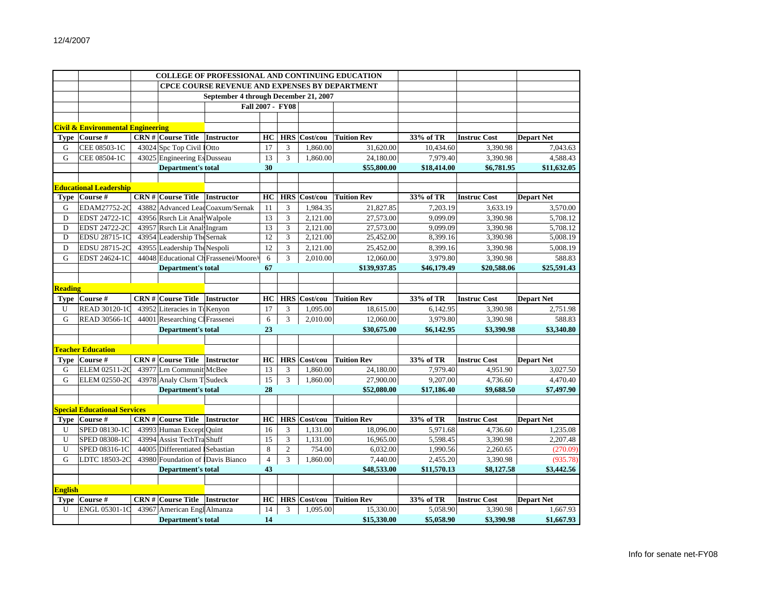|                |                                              |  |                                  | <b>COLLEGE OF PROFESSIONAL AND CONTINUING EDUCATION</b> |                |                         |                     |                    |             |                     |                   |
|----------------|----------------------------------------------|--|----------------------------------|---------------------------------------------------------|----------------|-------------------------|---------------------|--------------------|-------------|---------------------|-------------------|
|                |                                              |  |                                  | <b>CPCE COURSE REVENUE AND EXPENSES BY DEPARTMENT</b>   |                |                         |                     |                    |             |                     |                   |
|                |                                              |  |                                  | September 4 through December 21, 2007                   |                |                         |                     |                    |             |                     |                   |
|                |                                              |  |                                  |                                                         |                | <b>Fall 2007 - FY08</b> |                     |                    |             |                     |                   |
|                |                                              |  |                                  |                                                         |                |                         |                     |                    |             |                     |                   |
|                | <b>Civil &amp; Environmental Engineering</b> |  |                                  |                                                         |                |                         |                     |                    |             |                     |                   |
| <b>Type</b>    | Course #                                     |  | <b>CRN # Course Title</b>        | <b>Instructor</b>                                       | HC             | <b>HRS</b>              | Cost/cou            | <b>Tuition Rev</b> | 33% of TR   | <b>Instruc Cost</b> | <b>Depart Net</b> |
| G              | CEE 08503-1C                                 |  | 43024 Spc Top Civil 10tto        |                                                         | 17             | 3                       | 1,860.00            | 31,620.00          | 10,434.60   | 3.390.98            | 7.043.63          |
| G              | CEE 08504-1C                                 |  | 43025 Engineering Es Dusseau     |                                                         | 13             | 3                       | 1,860.00            | 24,180.00          | 7,979.40    | 3,390.98            | 4,588.43          |
|                |                                              |  | <b>Department's total</b>        |                                                         | 30             |                         |                     | \$55,800.00        | \$18,414.00 | \$6,781.95          | \$11,632.05       |
|                |                                              |  |                                  |                                                         |                |                         |                     |                    |             |                     |                   |
|                | <b>Educational Leadership</b>                |  |                                  |                                                         |                |                         |                     |                    |             |                     |                   |
| Type           | Course #                                     |  | $CRN #$ Course Title             | <b>Instructor</b>                                       | HC             | <b>HRS</b>              | Cost/cou            | <b>Tuition Rev</b> | 33% of TR   | <b>Instruc Cost</b> | <b>Depart Net</b> |
| G              | EDAM27752-2C                                 |  |                                  | 43882 Advanced LeadCoaxum/Sernak                        | 11             | 3                       | 1,984.35            | 21,827.85          | 7,203.19    | 3,633.19            | 3,570.00          |
| D              | EDST 24722-1C                                |  | 43956 Rsrch Lit Anal Walpole     |                                                         | 13             | $\overline{3}$          | 2,121.00            | 27,573.00          | 9,099.09    | 3.390.98            | 5.708.12          |
| D              | EDST 24722-2C                                |  | 43957 Rsrch Lit Anal Ingram      |                                                         | 13             | 3                       | 2,121.00            | 27,573.00          | 9,099.09    | 3,390.98            | 5,708.12          |
| D              | EDSU 28715-1C                                |  | 43954 Leadership The Sernak      |                                                         | 12             | 3                       | 2,121.00            | 25,452.00          | 8,399.16    | 3,390.98            | 5,008.19          |
| D              | EDSU 28715-2C                                |  | 43955 Leadership The Nespoli     |                                                         | 12             | 3                       | 2,121.00            | 25,452.00          | 8,399.16    | 3,390.98            | 5,008.19          |
| G              | EDST 24624-1C                                |  |                                  | 44048 Educational ChFrassenei/Moore/                    | 6              | 3                       | 2.010.00            | 12,060.00          | 3,979.80    | 3,390.98            | 588.83            |
|                |                                              |  | <b>Department's total</b>        |                                                         | 67             |                         |                     | \$139,937.85       | \$46,179.49 | \$20,588.06         | \$25,591.43       |
|                |                                              |  |                                  |                                                         |                |                         |                     |                    |             |                     |                   |
| <b>Reading</b> |                                              |  |                                  |                                                         |                |                         |                     |                    |             |                     |                   |
|                | Type Course #                                |  | <b>CRN # Course Title</b>        | <b>Instructor</b>                                       | HC             | <b>HRS</b>              | Cost/cou            | <b>Tuition Rev</b> | 33% of TR   | <b>Instruc Cost</b> | <b>Depart Net</b> |
| U              | READ 30120-1C                                |  | 43952 Literacies in TeKenyon     |                                                         | 17             | 3                       | 1,095.00            | 18,615.00          | 6,142.95    | 3,390.98            | 2,751.98          |
| G              | READ 30566-1C                                |  | 44001 Researching Cl Frassenei   |                                                         | 6              | 3                       | 2,010.00            | 12,060.00          | 3,979.80    | 3,390.98            | 588.83            |
|                |                                              |  | <b>Department's total</b>        |                                                         | 23             |                         |                     | \$30,675.00        | \$6,142.95  | \$3,390.98          | \$3,340.80        |
|                |                                              |  |                                  |                                                         |                |                         |                     |                    |             |                     |                   |
|                | <b>Teacher Education</b>                     |  |                                  |                                                         |                |                         |                     |                    |             |                     |                   |
|                | <b>Type <math>\vert</math> Course #</b>      |  | <b>CRN # Course Title</b>        | <b>Instructor</b>                                       | HC             | <b>HRS</b>              | Cost/cou            | <b>Tuition Rev</b> | 33% of TR   | <b>Instruc Cost</b> | <b>Depart Net</b> |
| G              | ELEM 02511-2C                                |  | 43977 Lrn Communit McBee         |                                                         | 13             | 3                       | 1,860.00            | 24.180.00          | 7,979.40    | 4.951.90            | 3,027.50          |
| G              | ELEM 02550-2C                                |  | 43978 Analy Clsrm T Sudeck       |                                                         | 15             | $\overline{3}$          | 1,860.00            | 27,900.00          | 9,207.00    | 4,736.60            | 4,470.40          |
|                |                                              |  | <b>Department's total</b>        |                                                         | 28             |                         |                     | \$52,080.00        | \$17,186.40 | \$9,688.50          | \$7,497.90        |
|                |                                              |  |                                  |                                                         |                |                         |                     |                    |             |                     |                   |
|                | <b>Special Educational Services</b>          |  |                                  |                                                         |                |                         |                     |                    |             |                     |                   |
| Type           | Course #                                     |  | <b>CRN#</b> Course Title         | <b>Instructor</b>                                       | HC             | <b>HRS</b>              | Cost/cou            | <b>Tuition Rev</b> | 33% of TR   | <b>Instruc Cost</b> | <b>Depart Net</b> |
| U              | SPED 08130-1C                                |  | 43993 Human Except Quint         |                                                         | 16             | 3                       | 1,131.00            | 18,096.00          | 5,971.68    | 4,736.60            | 1,235.08          |
| U              | SPED 08308-1C                                |  | 43994 Assist TechTra Shuff       |                                                         | 15             | 3                       | 1,131.00            | 16,965.00          | 5,598.45    | 3,390.98            | 2,207.48          |
| U              | SPED 08316-1C                                |  | 44005 Differentiated Sebastian   |                                                         | 8              | $\overline{2}$          | 754.00              | 6,032.00           | 1,990.56    | 2,260.65            | (270.09)          |
| G              | LDTC 18503-2C                                |  | 43980 Foundation of Davis Bianco |                                                         | $\overline{4}$ | 3                       | 1,860.00            | 7,440.00           | 2,455.20    | 3,390.98            | (935.78)          |
|                |                                              |  | <b>Department's total</b>        |                                                         | 43             |                         |                     | \$48,533.00        | \$11,570.13 | \$8,127.58          | \$3,442.56        |
|                |                                              |  |                                  |                                                         |                |                         |                     |                    |             |                     |                   |
| <b>English</b> |                                              |  |                                  |                                                         |                |                         |                     |                    |             |                     |                   |
| <b>Type</b>    | Course #                                     |  | <b>CRN # Course Title</b>        | <b>Instructor</b>                                       | HC             |                         | <b>HRS</b> Cost/cou | <b>Tuition Rev</b> | 33% of TR   | <b>Instruc Cost</b> | <b>Depart Net</b> |
| U              | ENGL 05301-1C                                |  | 43967 American Engl Almanza      |                                                         | 14             | 3                       | 1,095.00            | 15,330.00          | 5,058.90    | 3,390.98            | 1,667.93          |
|                |                                              |  | <b>Department's total</b>        |                                                         | 14             |                         |                     | \$15,330.00        | \$5,058.90  | \$3,390.98          | \$1,667.93        |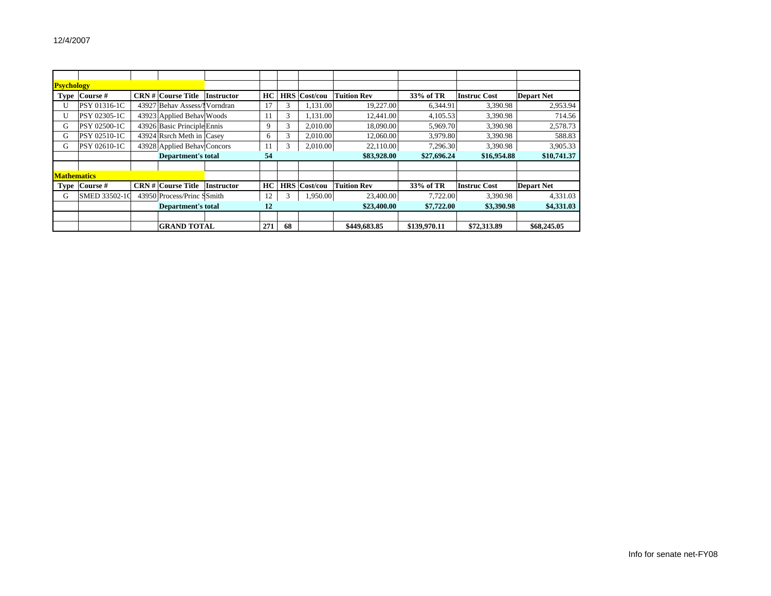| <b>Psychology</b>  |                           |                           |                             |                   |     |             |             |                    |              |                     |                   |
|--------------------|---------------------------|---------------------------|-----------------------------|-------------------|-----|-------------|-------------|--------------------|--------------|---------------------|-------------------|
|                    | Type Course #             |                           | <b>CRN#</b> Course Title    | <b>Instructor</b> | HC. | <b>HRS</b>  | Cost/cou    | <b>Tuition Rev</b> | 33% of TR    | <b>Instruc Cost</b> | <b>Depart Net</b> |
| U                  | PSY 01316-1C              |                           | 43927 Behav Assess/Norndran |                   | 17  |             | 1,131.00    | 19,227.00          | 6,344.91     | 3,390.98            | 2,953.94          |
| U                  | PSY 02305-1C              |                           | 43923 Applied Behav Woods   |                   | 11  | 3           | 1,131.00    | 12.441.00          | 4,105.53     | 3,390.98            | 714.56            |
| G                  | PSY 02500-1C              |                           | 43926 Basic Principle Ennis |                   | 9   | 3           | 2,010.00    | 18,090.00          | 5,969.70     | 3,390.98            | 2,578.73          |
| G                  | PSY 02510-1C              |                           | 43924 Rsrch Meth in Casey   |                   | 6   | 3           | 2.010.00    | 12,060.00          | 3,979.80     | 3,390.98            | 588.83            |
| G                  | PSY 02610-1C              |                           | 43928 Applied Behav Concors |                   | 11  | 3           | 2,010.00    | 22,110.00          | 7,296.30     | 3,390.98            | 3,905.33          |
|                    |                           | <b>Department's total</b> | 54                          |                   |     | \$83,928.00 | \$27,696.24 | \$16,954.88        | \$10,741.37  |                     |                   |
|                    |                           |                           |                             |                   |     |             |             |                    |              |                     |                   |
| <b>Mathematics</b> |                           |                           |                             |                   |     |             |             |                    |              |                     |                   |
|                    | Type Course #             |                           | <b>CRN # Course Title</b>   | <b>Instructor</b> | HC. | <b>HRS</b>  | Cost/cou    | <b>Tuition Rev</b> | 33% of TR    | <b>Instruc Cost</b> | <b>Depart Net</b> |
| G                  | <b>SMED 33502-10</b>      |                           | 43950 Process/Princ SSmith  |                   | 12  | 3           | 1,950.00    | 23,400.00          | 7,722.00     | 3,390.98            | 4,331.03          |
|                    | <b>Department's total</b> |                           |                             |                   | 12  |             |             | \$23,400.00        | \$7,722.00   | \$3,390.98          | \$4,331.03        |
|                    |                           |                           |                             |                   |     |             |             |                    |              |                     |                   |
|                    |                           |                           | <b>GRAND TOTAL</b>          |                   | 271 | 68          |             | \$449,683.85       | \$139,970.11 | \$72,313.89         | \$68,245.05       |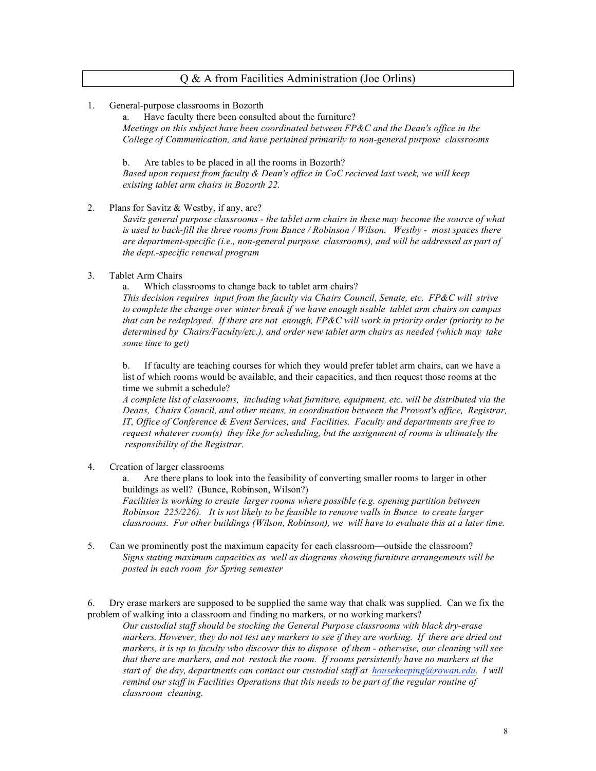#### Q & A from Facilities Administration (Joe Orlins)

#### 1. General-purpose classrooms in Bozorth

a. Have faculty there been consulted about the furniture? *Meetings on this subject have been coordinated between FP&C and the Dean's office in the College of Communication, and have pertained primarily to non-general purpose classrooms*

b. Are tables to be placed in all the rooms in Bozorth?

*Based upon request from faculty & Dean's office in CoC recieved last week, we will keep existing tablet arm chairs in Bozorth 22.*

2. Plans for Savitz & Westby, if any, are?

*Savitz general purpose classrooms - the tablet arm chairs in these may become the source of what is used to back-fill the three rooms from Bunce / Robinson / Wilson. Westby - most spaces there are department-specific (i.e., non-general purpose classrooms), and will be addressed as part of the dept.-specific renewal program*

3. Tablet Arm Chairs

a. Which classrooms to change back to tablet arm chairs?

*This decision requires input from the faculty via Chairs Council, Senate, etc. FP&C will strive to complete the change over winter break if we have enough usable tablet arm chairs on campus that can be redeployed. If there are not enough, FP&C will work in priority order (priority to be determined by Chairs/Faculty/etc.), and order new tablet arm chairs as needed (which may take some time to get)*

b. If faculty are teaching courses for which they would prefer tablet arm chairs, can we have a list of which rooms would be available, and their capacities, and then request those rooms at the time we submit a schedule?

*A complete list of classrooms, including what furniture, equipment, etc. will be distributed via the Deans, Chairs Council, and other means, in coordination between the Provost's office, Registrar, IT, Office of Conference & Event Services, and Facilities. Faculty and departments are free to request whatever room(s) they like for scheduling, but the assignment of rooms is ultimately the responsibility of the Registrar.*

4. Creation of larger classrooms

a. Are there plans to look into the feasibility of converting smaller rooms to larger in other buildings as well? (Bunce, Robinson, Wilson?)

*Facilities is working to create larger rooms where possible (e.g. opening partition between Robinson 225/226). It is not likely to be feasible to remove walls in Bunce to create larger classrooms. For other buildings (Wilson, Robinson), we will have to evaluate this at a later time.*

5. Can we prominently post the maximum capacity for each classroom—outside the classroom? *Signs stating maximum capacities as well as diagrams showing furniture arrangements will be posted in each room for Spring semester*

6. Dry erase markers are supposed to be supplied the same way that chalk was supplied. Can we fix the problem of walking into a classroom and finding no markers, or no working markers?

*Our custodial staff should be stocking the General Purpose classrooms with black dry-erase markers. However, they do not test any markers to see if they are working. If there are dried out markers, it is up to faculty who discover this to dispose of them - otherwise, our cleaning will see that there are markers, and not restock the room. If rooms persistently have no markers at the start of the day, departments can contact our custodial staff at housekeeping@rowan.edu. I will remind our staff in Facilities Operations that this needs to be part of the regular routine of classroom cleaning.*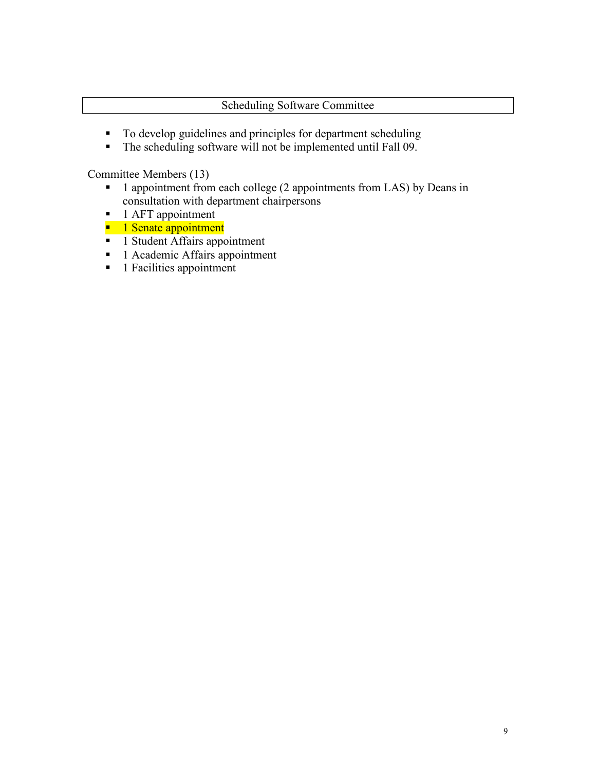## Scheduling Software Committee

- To develop guidelines and principles for department scheduling
- The scheduling software will not be implemented until Fall 09.

Committee Members (13)

- <sup>1</sup> 1 appointment from each college (2 appointments from LAS) by Deans in consultation with department chairpersons
- $\blacksquare$  1 AFT appointment
- **1** Senate appointment
- <sup>1</sup> 1 Student Affairs appointment
- 1 Academic Affairs appointment
- **1** Facilities appointment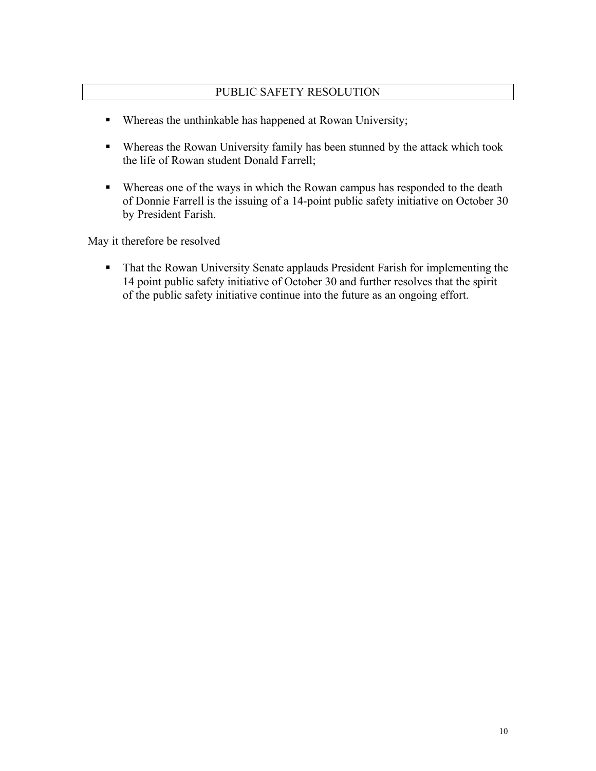## PUBLIC SAFETY RESOLUTION

- Whereas the unthinkable has happened at Rowan University;
- Whereas the Rowan University family has been stunned by the attack which took the life of Rowan student Donald Farrell;
- Whereas one of the ways in which the Rowan campus has responded to the death of Donnie Farrell is the issuing of a 14-point public safety initiative on October 30 by President Farish.

May it therefore be resolved

**That the Rowan University Senate applauds President Farish for implementing the** 14 point public safety initiative of October 30 and further resolves that the spirit of the public safety initiative continue into the future as an ongoing effort.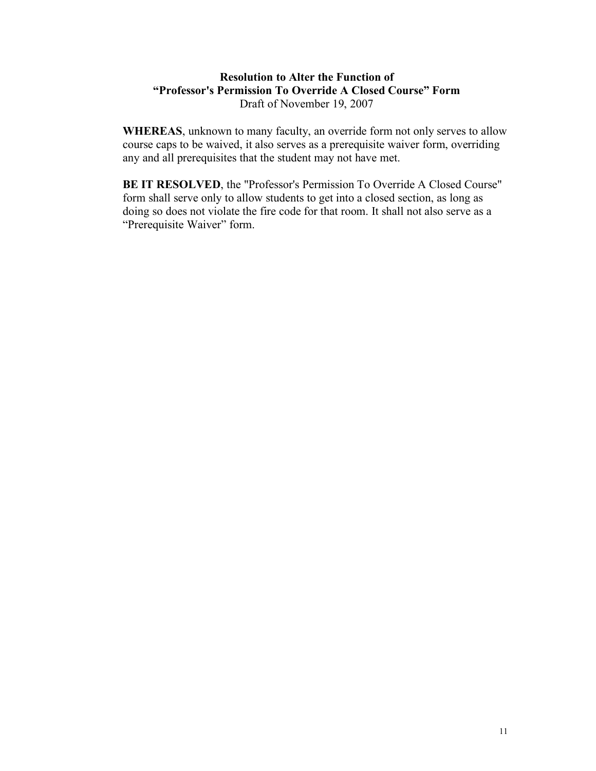## **Resolution to Alter the Function of "Professor's Permission To Override A Closed Course" Form** Draft of November 19, 2007

**WHEREAS**, unknown to many faculty, an override form not only serves to allow course caps to be waived, it also serves as a prerequisite waiver form, overriding any and all prerequisites that the student may not have met.

**BE IT RESOLVED**, the "Professor's Permission To Override A Closed Course" form shall serve only to allow students to get into a closed section, as long as doing so does not violate the fire code for that room. It shall not also serve as a "Prerequisite Waiver" form.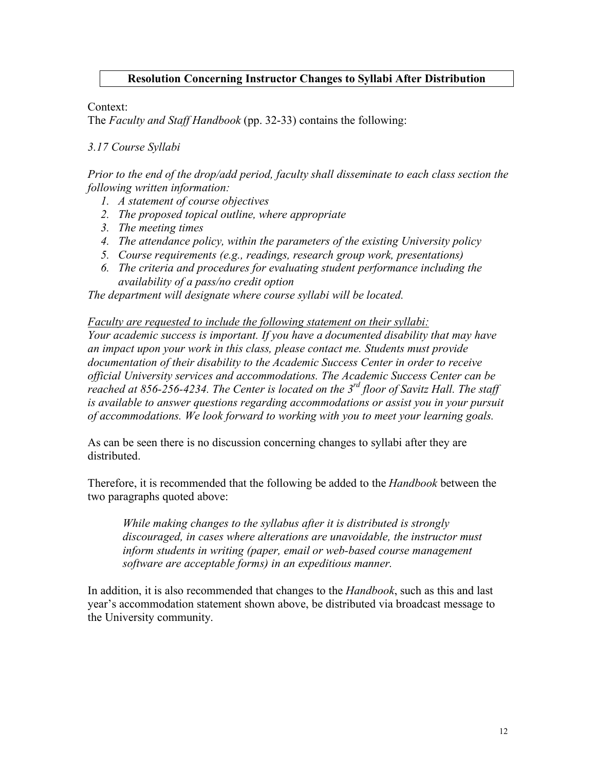### **Resolution Concerning Instructor Changes to Syllabi After Distribution**

Context:

The *Faculty and Staff Handbook* (pp. 32-33) contains the following:

#### *3.17 Course Syllabi*

*Prior to the end of the drop/add period, faculty shall disseminate to each class section the following written information:*

- *1. A statement of course objectives*
- *2. The proposed topical outline, where appropriate*
- *3. The meeting times*
- *4. The attendance policy, within the parameters of the existing University policy*
- *5. Course requirements (e.g., readings, research group work, presentations)*
- *6. The criteria and procedures for evaluating student performance including the availability of a pass/no credit option*

*The department will designate where course syllabi will be located.*

*Faculty are requested to include the following statement on their syllabi:*

*Your academic success is important. If you have a documented disability that may have an impact upon your work in this class, please contact me. Students must provide documentation of their disability to the Academic Success Center in order to receive official University services and accommodations. The Academic Success Center can be reached at 856-256-4234. The Center is located on the 3rd floor of Savitz Hall. The staff is available to answer questions regarding accommodations or assist you in your pursuit of accommodations. We look forward to working with you to meet your learning goals.*

As can be seen there is no discussion concerning changes to syllabi after they are distributed.

Therefore, it is recommended that the following be added to the *Handbook* between the two paragraphs quoted above:

*While making changes to the syllabus after it is distributed is strongly discouraged, in cases where alterations are unavoidable, the instructor must inform students in writing (paper, email or web-based course management software are acceptable forms) in an expeditious manner.*

In addition, it is also recommended that changes to the *Handbook*, such as this and last year's accommodation statement shown above, be distributed via broadcast message to the University community.